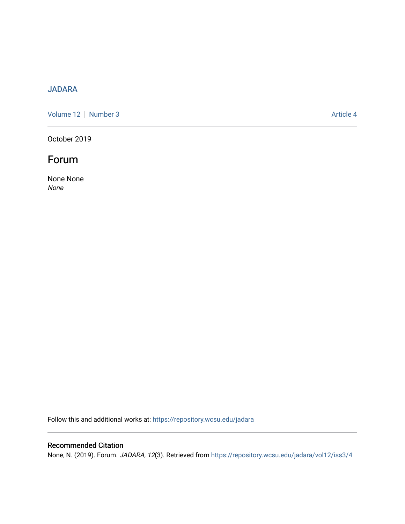## [JADARA](https://repository.wcsu.edu/jadara)

[Volume 12](https://repository.wcsu.edu/jadara/vol12) | [Number 3](https://repository.wcsu.edu/jadara/vol12/iss3) Article 4

October 2019

## Forum

None None None

Follow this and additional works at: [https://repository.wcsu.edu/jadara](https://repository.wcsu.edu/jadara?utm_source=repository.wcsu.edu%2Fjadara%2Fvol12%2Fiss3%2F4&utm_medium=PDF&utm_campaign=PDFCoverPages)

### Recommended Citation

None, N. (2019). Forum. JADARA, 12(3). Retrieved from [https://repository.wcsu.edu/jadara/vol12/iss3/4](https://repository.wcsu.edu/jadara/vol12/iss3/4?utm_source=repository.wcsu.edu%2Fjadara%2Fvol12%2Fiss3%2F4&utm_medium=PDF&utm_campaign=PDFCoverPages)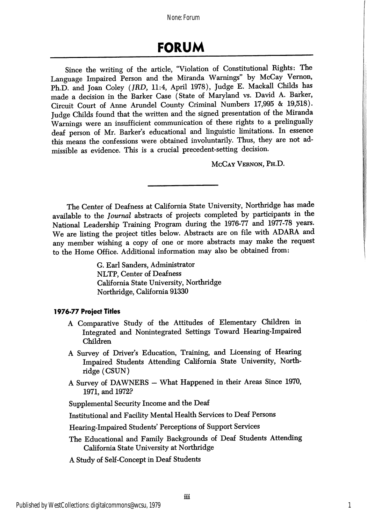None: Forum

# FORUM

Since the writing of the article, "Violation of Constitutional Rights: The Language Impaired Person and the Miranda Warnings" by McCay Vernon, Ph.D. and Joan Coley (JRD, 11:4, April 1978), Judge E. Mackall Childs has made a decision in the Barker Case (State of Maryland vs. David A. Barker, Circuit Court of Anne Arundel County Criminal Numbers 17,995 & 19,518). Judge Childs found that the written and the signed presentation of the Miranda Warnings were an insufficient communication of these rights to a prelingually deaf person of Mr. Barker's educational and linguistic limitations. In essence this means the confessions were obtained involuntarily. Thus, they are not ad missible as evidence. This is a crucial precedent-setting decision.

McCay Vernon, Ph.D.

The Center of Deafness at California State University, Northridge has made available to the Journal abstracts of projects completed by participants in the National Leadership Training Program during the 1976-77 and 1977-78 years. We are listing the project titles below. Abstracts are on file with ADARA and any member wishing a copy of one or more abstracts may make the request to the Home Office. Additional information may also be obtained from:

> G. Earl Sanders, Administrator NLTP, Center of Deafness California State University, Northridge Northridge, California 91330

### 1976-77 Project Titles

- A Comparative Study of the Attitudes of Elementary Children in Integrated and Nonintegrated Settings Toward Hearing-Impaired Children
- A Survey of Driver's Education, Training, and Licensing of Hearing Impaired Students Attending California State University, North ridge (CSUN)
- A Survey of DAWNERS What Happened in their Areas Since 1970, 1971, and 1972?

Supplemental Security Income and the Deaf

Institutional and Facility Mental Health Services to Deaf Persons

Hearing-Impaired Students' Perceptions of Support Services

The Educational and Family Backgrounds of Deaf Students Attending California State University at Northridge

A Study of Self-Concept in Deaf Students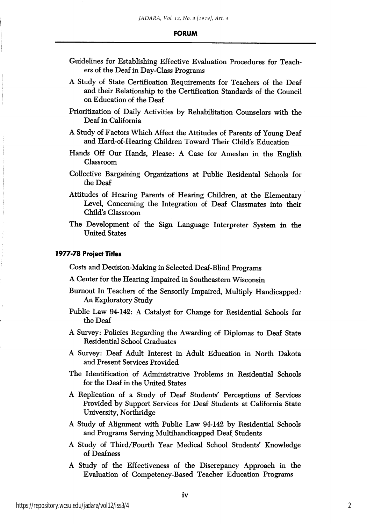- Guidelines for Establishing Effective Evaluation Procedures for Teach ers of the Deaf in Day-Class Programs
- A Study of State Certification Requirements for Teachers of the Deaf and their Relationship to the Certification Standards of the Council on Education of the Deaf
- Prioritization of Daily Activities by Rehabilitation Counselors with the Deaf in California
- A Study of Factors Which Affect the Attitudes of Parents of Young Deaf and Hard-of-Hearing Children Toward Their Child's Education
- Hands Off Our Hands, Please: A Case for Ameslan in the English Classroom
- Collective Bargaining Organizations at Public Residental Schools for the Deaf
- Attitudes of Hearing Parents of Hearing Children, at the Elementary Level, Concerning the Integration of Deaf Classmates into their Child's Classroom
- The Development of the Sign Language Interpreter System in the United States

#### 1977-78 Project Titles

Costs and Decision-Making in Selected Deaf-Blind Programs

- A Center for the Hearing Impaired in Southeastern Wisconsin
- Burnout In Teachers of the Sensorily Impaired, Multiply Handicapped; An Exploratory Study
- Public Law 94-142: A Catalyst for Change for Residential Schools for the Deaf
- A Survey: Policies Regarding the Awarding of Diplomas to Deaf State Residential School Graduates
- A Survey: Deaf Adult Interest in Adult Education in North Dakota and Present Services Provided
- The Identification of Administrative Problems in Residential Schools for the Deaf in the United States
- A Replication of a Study of Deaf Students' Perceptions of Services Provided by Support Services for Deaf Students at California State University, Northridge
- A Study of Alignment with Public Law 94-142 by Residential Schools and Programs Serving Multihandicapped Deaf Students
- A Study of Third/Fourth Year Medical School Students' Knowledge of Deafness
- A Study of the Effectiveness of the Discrepancy Approach in the Evaluation of Competency-Based Teacher Education Programs